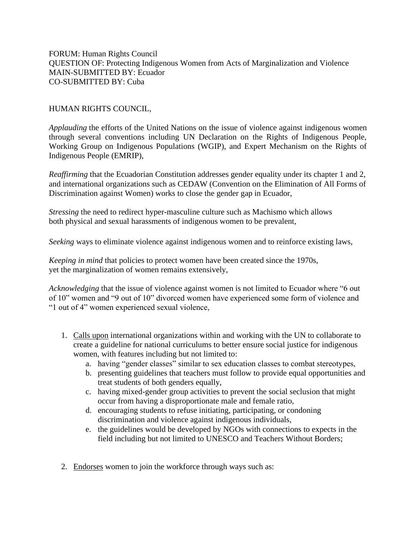FORUM: Human Rights Council QUESTION OF: Protecting Indigenous Women from Acts of Marginalization and Violence MAIN-SUBMITTED BY: Ecuador CO-SUBMITTED BY: Cuba

## HUMAN RIGHTS COUNCIL,

*Applauding* the efforts of the United Nations on the issue of violence against indigenous women through several conventions including UN Declaration on the Rights of Indigenous People, Working Group on Indigenous Populations (WGIP), and Expert Mechanism on the Rights of Indigenous People (EMRIP),

*Reaffirming* that the Ecuadorian Constitution addresses gender equality under its chapter 1 and 2, and international organizations such as CEDAW (Convention on the Elimination of All Forms of Discrimination against Women) works to close the gender gap in Ecuador,

*Stressing* the need to redirect hyper-masculine culture such as Machismo which allows both physical and sexual harassments of indigenous women to be prevalent,

*Seeking* ways to eliminate violence against indigenous women and to reinforce existing laws,

*Keeping in mind* that policies to protect women have been created since the 1970s, yet the marginalization of women remains extensively,

*Acknowledging* that the issue of violence against women is not limited to Ecuador where "6 out of 10" women and "9 out of 10" divorced women have experienced some form of violence and "1 out of 4" women experienced sexual violence,

- 1. Calls upon international organizations within and working with the UN to collaborate to create a guideline for national curriculums to better ensure social justice for indigenous women, with features including but not limited to:
	- a. having "gender classes" similar to sex education classes to combat stereotypes,
	- b. presenting guidelines that teachers must follow to provide equal opportunities and treat students of both genders equally,
	- c. having mixed-gender group activities to prevent the social seclusion that might occur from having a disproportionate male and female ratio,
	- d. encouraging students to refuse initiating, participating, or condoning discrimination and violence against indigenous individuals,
	- e. the guidelines would be developed by NGOs with connections to expects in the field including but not limited to UNESCO and Teachers Without Borders;
- 2. Endorses women to join the workforce through ways such as: